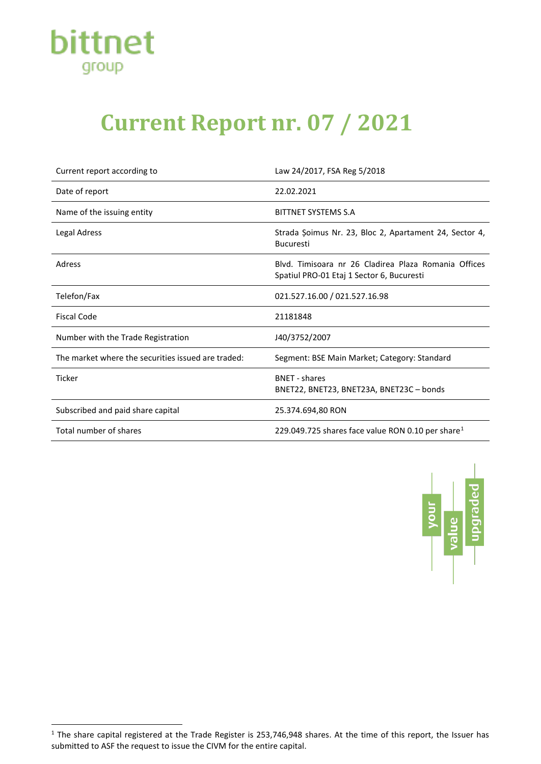

## **Current Report nr. 07 / 2021**

| Current report according to                        | Law 24/2017, FSA Reg 5/2018                                                                       |
|----------------------------------------------------|---------------------------------------------------------------------------------------------------|
| Date of report                                     | 22.02.2021                                                                                        |
| Name of the issuing entity                         | BITTNET SYSTEMS S.A                                                                               |
| Legal Adress                                       | Strada Șoimus Nr. 23, Bloc 2, Apartament 24, Sector 4,<br><b>Bucuresti</b>                        |
| Adress                                             | Blyd. Timisoara nr 26 Cladirea Plaza Romania Offices<br>Spatiul PRO-01 Etaj 1 Sector 6, Bucuresti |
| Telefon/Fax                                        | 021.527.16.00 / 021.527.16.98                                                                     |
| <b>Fiscal Code</b>                                 | 21181848                                                                                          |
| Number with the Trade Registration                 | J40/3752/2007                                                                                     |
| The market where the securities issued are traded: | Segment: BSE Main Market; Category: Standard                                                      |
| <b>Ticker</b>                                      | <b>BNET - shares</b><br>BNET22, BNET23, BNET23A, BNET23C - bonds                                  |
| Subscribed and paid share capital                  | 25.374.694,80 RON                                                                                 |
| Total number of shares                             | 229.049.725 shares face value RON 0.10 per share <sup>1</sup>                                     |



<span id="page-0-0"></span> $1$  The share capital registered at the Trade Register is 253,746,948 shares. At the time of this report, the Issuer has submitted to ASF the request to issue the CIVM for the entire capital.